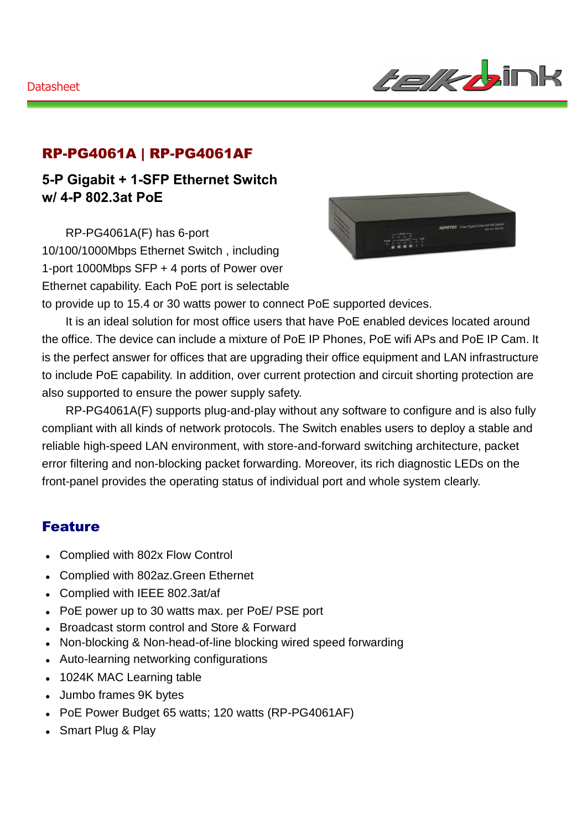

### RP-PG4061A | RP-PG4061AF

**5-P Gigabit + 1-SFP Ethernet Switch w/ 4-P 802.3at PoE**

RP-PG4061A(F) has 6-port 10/100/1000Mbps Ethernet Switch , including 1-port 1000Mbps SFP + 4 ports of Power over Ethernet capability. Each PoE port is selectable



to provide up to 15.4 or 30 watts power to connect PoE supported devices.

It is an ideal solution for most office users that have PoE enabled devices located around the office. The device can include a mixture of PoE IP Phones, PoE wifi APs and PoE IP Cam. It is the perfect answer for offices that are upgrading their office equipment and LAN infrastructure to include PoE capability. In addition, over current protection and circuit shorting protection are also supported to ensure the power supply safety.

RP-PG4061A(F) supports plug-and-play without any software to configure and is also fully compliant with all kinds of network protocols. The Switch enables users to deploy a stable and reliable high-speed LAN environment, with store-and-forward switching architecture, packet error filtering and non-blocking packet forwarding. Moreover, its rich diagnostic LEDs on the front-panel provides the operating status of individual port and whole system clearly.

#### Feature

- Complied with 802x Flow Control
- Complied with 802az.Green Ethernet
- Complied with IEEE 802.3at/af
- PoE power up to 30 watts max. per PoE/ PSE port
- Broadcast storm control and Store & Forward
- Non-blocking & Non-head-of-line blocking wired speed forwarding
- Auto-learning networking configurations
- 1024K MAC Learning table
- Jumbo frames 9K bytes
- PoE Power Budget 65 watts; 120 watts (RP-PG4061AF)
- Smart Plug & Play